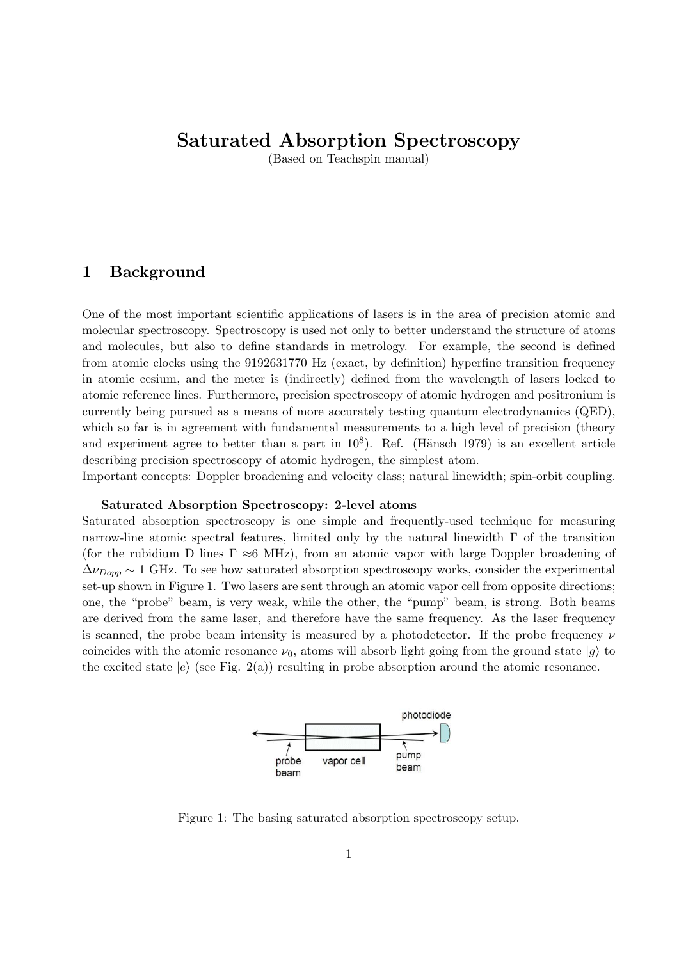# **Saturated Absorption Spectroscopy**

(Based on Teachspin manual)

# **1 Background**

One of the most important scientific applications of lasers is in the area of precision atomic and molecular spectroscopy. Spectroscopy is used not only to better understand the structure of atoms and molecules, but also to define standards in metrology. For example, the second is defined from atomic clocks using the 9192631770 Hz (exact, by definition) hyperfine transition frequency in atomic cesium, and the meter is (indirectly) defined from the wavelength of lasers locked to atomic reference lines. Furthermore, precision spectroscopy of atomic hydrogen and positronium is currently being pursued as a means of more accurately testing quantum electrodynamics (QED), which so far is in agreement with fundamental measurements to a high level of precision (theory and experiment agree to better than a part in  $10^8$ ). Ref. (Hänsch 1979) is an excellent article describing precision spectroscopy of atomic hydrogen, the simplest atom.

Important concepts: Doppler broadening and velocity class; natural linewidth; spin-orbit coupling.

## **Saturated Absorption Spectroscopy: 2-level atoms**

Saturated absorption spectroscopy is one simple and frequently-used technique for measuring narrow-line atomic spectral features, limited only by the natural linewidth  $\Gamma$  of the transition (for the rubidium D lines Γ *≈*6 MHz), from an atomic vapor with large Doppler broadening of  $\Delta \nu_{Dopp} \sim 1$  GHz. To see how saturated absorption spectroscopy works, consider the experimental set-up shown in Figure 1. Two lasers are sent through an atomic vapor cell from opposite directions; one, the "probe" beam, is very weak, while the other, the "pump" beam, is strong. Both beams are derived from the same laser, and therefore have the same frequency. As the laser frequency is scanned, the probe beam intensity is measured by a photodetector. If the probe frequency *ν* coincides with the atomic resonance  $\nu_0$ , atoms will absorb light going from the ground state  $|g\rangle$  to the excited state  $|e\rangle$  (see Fig. 2(a)) resulting in probe absorption around the atomic resonance.



Figure 1: The basing saturated absorption spectroscopy setup.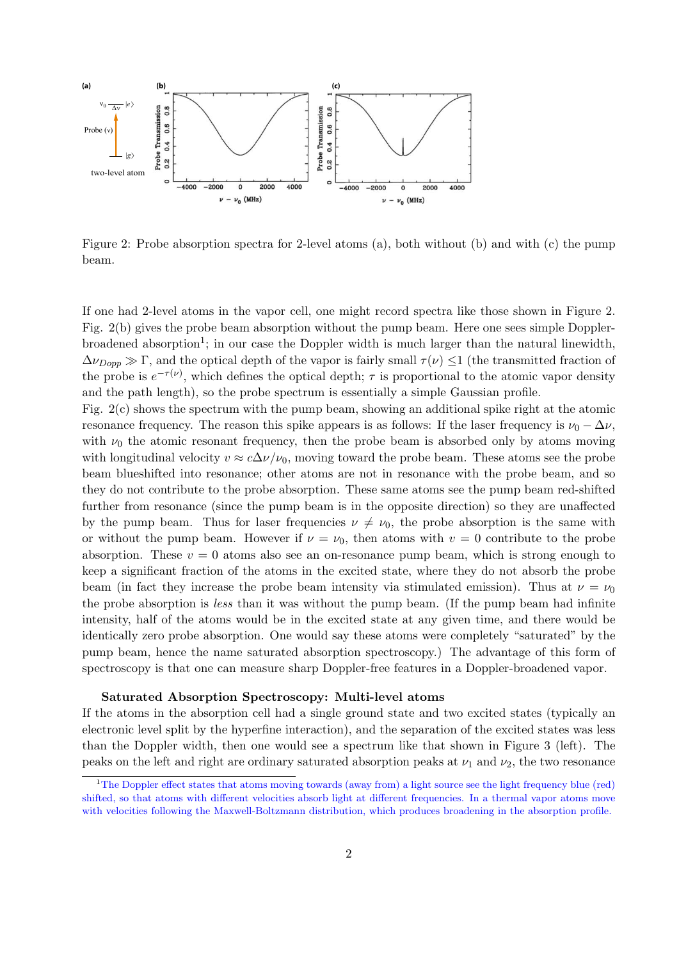

Figure 2: Probe absorption spectra for 2-level atoms (a), both without (b) and with (c) the pump beam.

If one had 2-level atoms in the vapor cell, one might record spectra like those shown in Figure 2. Fig. 2(b) gives the probe beam absorption without the pump beam. Here one sees simple Dopplerbroadened absorption<sup>1</sup>; in our case the Doppler width is much larger than the natural linewidth,  $\Delta \nu_{Dopp} \gg \Gamma$ , and the optical depth of the vapor is fairly small  $\tau(\nu) \leq 1$  (the transmitted fraction of the probe is  $e^{-\tau(\nu)}$ , which defines the optical depth;  $\tau$  is proportional to the atomic vapor density and the path length), so the probe spectrum is essentially a simple Gaussian profile.

Fig. 2(c) shows the spectrum with the pump beam, showing an additional spike right at the atomic resonance frequency. The reason this spike appears is as follows: If the laser frequency is  $\nu_0 - \Delta \nu$ , with  $\nu_0$  the atomic resonant frequency, then the probe beam is absorbed only by atoms moving with longitudinal velocity  $v \approx c\Delta \nu/\nu_0$ , moving toward the probe beam. These atoms see the probe beam blueshifted into resonance; other atoms are not in resonance with the probe beam, and so they do not contribute to the probe absorption. These same atoms see the pump beam red-shifted further from resonance (since the pump beam is in the opposite direction) so they are unaffected by the pump beam. Thus for laser frequencies  $\nu \neq \nu_0$ , the probe absorption is the same with or without the pump beam. However if  $\nu = \nu_0$ , then atoms with  $\nu = 0$  contribute to the probe absorption. These  $v = 0$  atoms also see an on-resonance pump beam, which is strong enough to keep a significant fraction of the atoms in the excited state, where they do not absorb the probe beam (in fact they increase the probe beam intensity via stimulated emission). Thus at  $\nu = \nu_0$ the probe absorption is *less* than it was without the pump beam. (If the pump beam had infinite intensity, half of the atoms would be in the excited state at any given time, and there would be identically zero probe absorption. One would say these atoms were completely "saturated" by the pump beam, hence the name saturated absorption spectroscopy.) The advantage of this form of spectroscopy is that one can measure sharp Doppler-free features in a Doppler-broadened vapor.

### **Saturated Absorption Spectroscopy: Multi-level atoms**

If the atoms in the absorption cell had a single ground state and two excited states (typically an electronic level split by the hyperfine interaction), and the separation of the excited states was less than the Doppler width, then one would see a spectrum like that shown in Figure 3 (left). The peaks on the left and right are ordinary saturated absorption peaks at  $\nu_1$  and  $\nu_2$ , the two resonance

<sup>&</sup>lt;sup>1</sup>The Doppler effect states that atoms moving towards (away from) a light source see the light frequency blue (red) shifted, so that atoms with different velocities absorb light at different frequencies. In a thermal vapor atoms move with velocities following the Maxwell-Boltzmann distribution, which produces broadening in the absorption profile.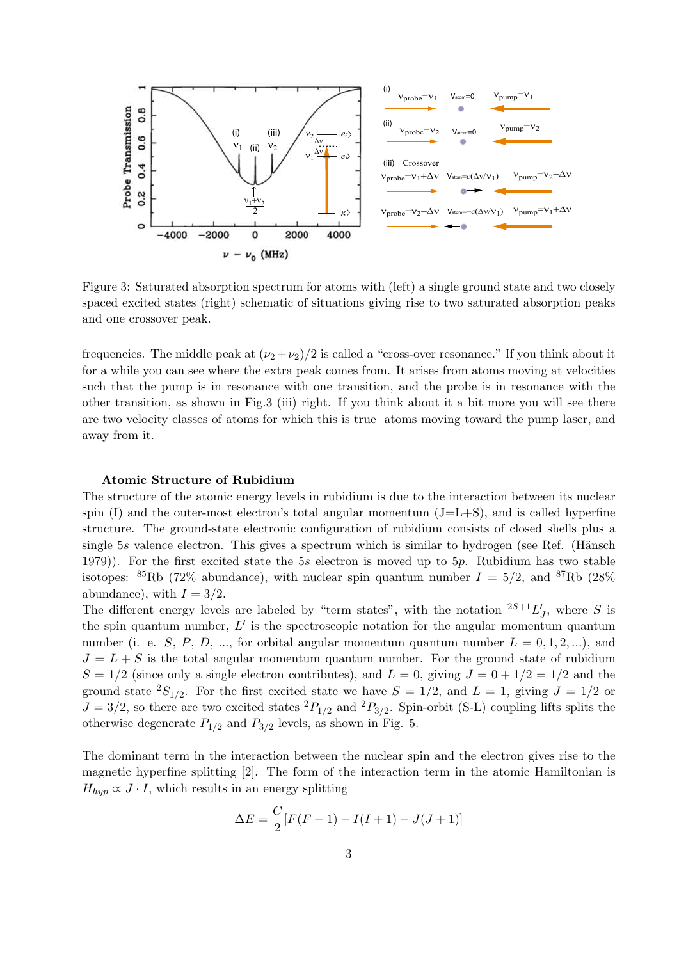

Figure 3: Saturated absorption spectrum for atoms with (left) a single ground state and two closely spaced excited states (right) schematic of situations giving rise to two saturated absorption peaks and one crossover peak.

frequencies. The middle peak at  $(\nu_2 + \nu_2)/2$  is called a "cross-over resonance." If you think about it for a while you can see where the extra peak comes from. It arises from atoms moving at velocities such that the pump is in resonance with one transition, and the probe is in resonance with the other transition, as shown in Fig.3 (iii) right. If you think about it a bit more you will see there are two velocity classes of atoms for which this is true atoms moving toward the pump laser, and away from it.

## **Atomic Structure of Rubidium**

The structure of the atomic energy levels in rubidium is due to the interaction between its nuclear spin  $(I)$  and the outer-most electron's total angular momentum  $(J=L+S)$ , and is called hyperfine structure. The ground-state electronic configuration of rubidium consists of closed shells plus a single 5*s* valence electron. This gives a spectrum which is similar to hydrogen (see Ref. (Hänsch 1979)). For the first excited state the 5*s* electron is moved up to 5*p*. Rubidium has two stable isotopes: <sup>85</sup>Rb (72\% abundance), with nuclear spin quantum number  $I = 5/2$ , and <sup>87</sup>Rb (28\%) abundance), with  $I = 3/2$ .

The different energy levels are labeled by "term states", with the notation  $2S+1L'_{J}$ , where *S* is the spin quantum number, *L ′* is the spectroscopic notation for the angular momentum quantum number (i. e. *S*, *P*, *D*, ..., for orbital angular momentum quantum number  $L = 0, 1, 2, ...$ ), and  $J = L + S$  is the total angular momentum quantum number. For the ground state of rubidium  $S = 1/2$  (since only a single electron contributes), and  $L = 0$ , giving  $J = 0 + 1/2 = 1/2$  and the ground state  ${}^{2}S_{1/2}$ . For the first excited state we have  $S = 1/2$ , and  $L = 1$ , giving  $J = 1/2$  or  $J = 3/2$ , so there are two excited states  ${}^{2}P_{1/2}$  and  ${}^{2}P_{3/2}$ . Spin-orbit (S-L) coupling lifts splits the otherwise degenerate  $P_{1/2}$  and  $P_{3/2}$  levels, as shown in Fig. 5.

The dominant term in the interaction between the nuclear spin and the electron gives rise to the magnetic hyperfine splitting [2]. The form of the interaction term in the atomic Hamiltonian is  $H_{hyp} \propto J \cdot I$ , which results in an energy splitting

$$
\Delta E = \frac{C}{2} [F(F+1) - I(I+1) - J(J+1)]
$$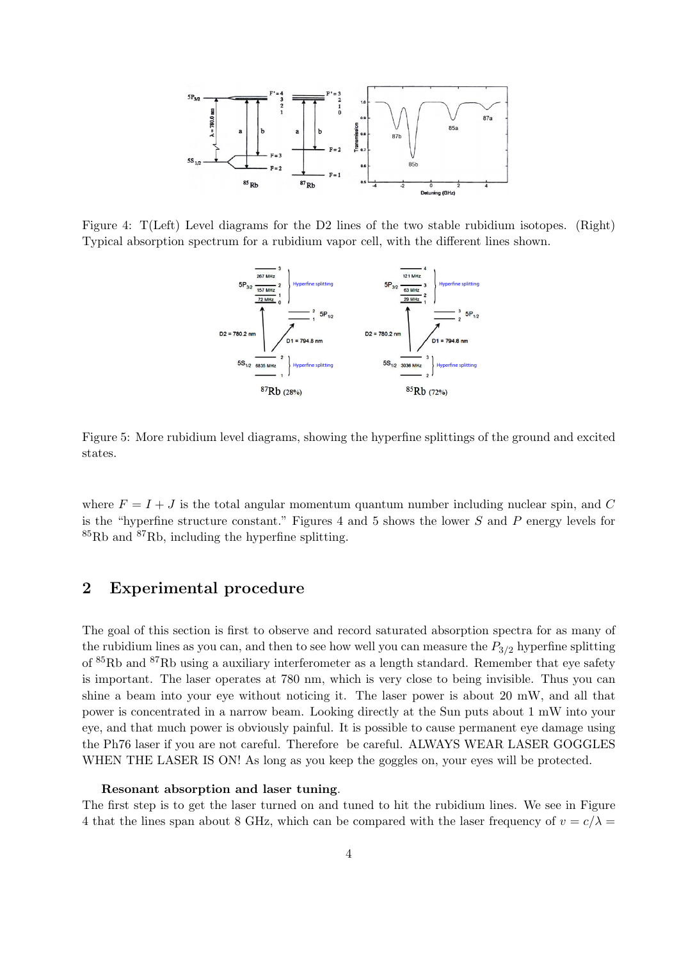

Figure 4: T(Left) Level diagrams for the D2 lines of the two stable rubidium isotopes. (Right) Typical absorption spectrum for a rubidium vapor cell, with the different lines shown.



Figure 5: More rubidium level diagrams, showing the hyperfine splittings of the ground and excited states.

where  $F = I + J$  is the total angular momentum quantum number including nuclear spin, and  $C$ is the "hyperfine structure constant." Figures 4 and 5 shows the lower *S* and *P* energy levels for  ${}^{85}$ Rb and  ${}^{87}$ Rb, including the hyperfine splitting.

# **2 Experimental procedure**

The goal of this section is first to observe and record saturated absorption spectra for as many of the rubidium lines as you can, and then to see how well you can measure the  $P_{3/2}$  hyperfine splitting of <sup>85</sup>Rb and <sup>87</sup>Rb using a auxiliary interferometer as a length standard. Remember that eye safety is important. The laser operates at 780 nm, which is very close to being invisible. Thus you can shine a beam into your eye without noticing it. The laser power is about 20 mW, and all that power is concentrated in a narrow beam. Looking directly at the Sun puts about 1 mW into your eye, and that much power is obviously painful. It is possible to cause permanent eye damage using the Ph76 laser if you are not careful. Therefore be careful. ALWAYS WEAR LASER GOGGLES WHEN THE LASER IS ON! As long as you keep the goggles on, your eyes will be protected.

### **Resonant absorption and laser tuning**.

The first step is to get the laser turned on and tuned to hit the rubidium lines. We see in Figure 4 that the lines span about 8 GHz, which can be compared with the laser frequency of  $v = c/\lambda$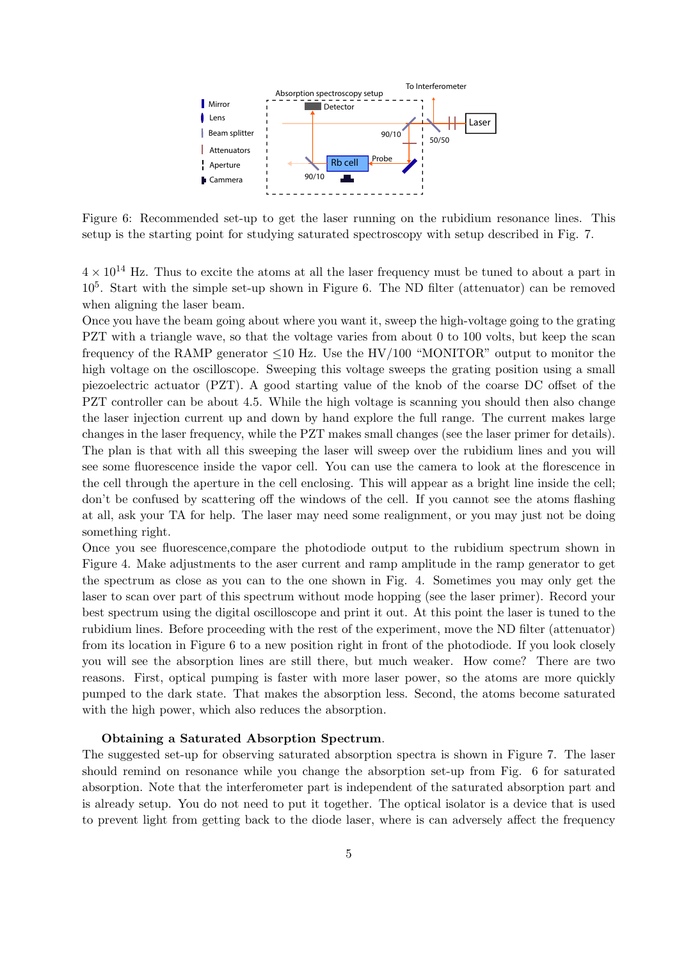

Figure 6: Recommended set-up to get the laser running on the rubidium resonance lines. This setup is the starting point for studying saturated spectroscopy with setup described in Fig. 7.

 $4 \times 10^{14}$  Hz. Thus to excite the atoms at all the laser frequency must be tuned to about a part in 10<sup>5</sup> . Start with the simple set-up shown in Figure 6. The ND filter (attenuator) can be removed when aligning the laser beam.

Once you have the beam going about where you want it, sweep the high-voltage going to the grating PZT with a triangle wave, so that the voltage varies from about 0 to 100 volts, but keep the scan frequency of the RAMP generator *≤*10 Hz. Use the HV/100 "MONITOR" output to monitor the high voltage on the oscilloscope. Sweeping this voltage sweeps the grating position using a small piezoelectric actuator (PZT). A good starting value of the knob of the coarse DC offset of the PZT controller can be about 4.5. While the high voltage is scanning you should then also change the laser injection current up and down by hand explore the full range. The current makes large changes in the laser frequency, while the PZT makes small changes (see the laser primer for details). The plan is that with all this sweeping the laser will sweep over the rubidium lines and you will see some fluorescence inside the vapor cell. You can use the camera to look at the florescence in the cell through the aperture in the cell enclosing. This will appear as a bright line inside the cell; don't be confused by scattering off the windows of the cell. If you cannot see the atoms flashing at all, ask your TA for help. The laser may need some realignment, or you may just not be doing something right.

Once you see fluorescence,compare the photodiode output to the rubidium spectrum shown in Figure 4. Make adjustments to the aser current and ramp amplitude in the ramp generator to get the spectrum as close as you can to the one shown in Fig. 4. Sometimes you may only get the laser to scan over part of this spectrum without mode hopping (see the laser primer). Record your best spectrum using the digital oscilloscope and print it out. At this point the laser is tuned to the rubidium lines. Before proceeding with the rest of the experiment, move the ND filter (attenuator) from its location in Figure 6 to a new position right in front of the photodiode. If you look closely you will see the absorption lines are still there, but much weaker. How come? There are two reasons. First, optical pumping is faster with more laser power, so the atoms are more quickly pumped to the dark state. That makes the absorption less. Second, the atoms become saturated with the high power, which also reduces the absorption.

#### **Obtaining a Saturated Absorption Spectrum**.

The suggested set-up for observing saturated absorption spectra is shown in Figure 7. The laser should remind on resonance while you change the absorption set-up from Fig. 6 for saturated absorption. Note that the interferometer part is independent of the saturated absorption part and is already setup. You do not need to put it together. The optical isolator is a device that is used to prevent light from getting back to the diode laser, where is can adversely affect the frequency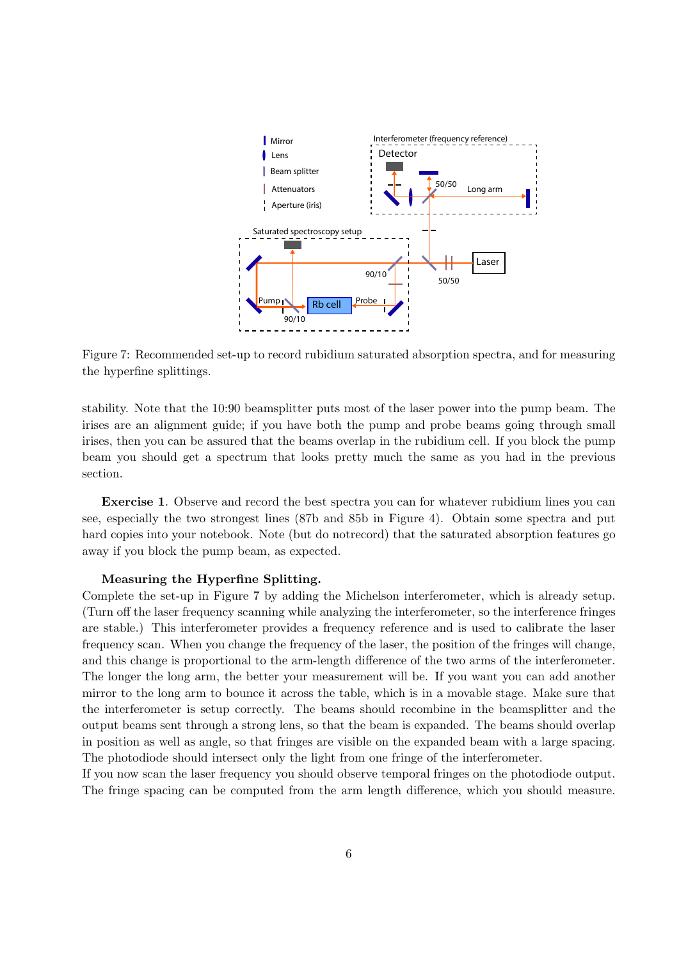

Figure 7: Recommended set-up to record rubidium saturated absorption spectra, and for measuring the hyperfine splittings.

stability. Note that the 10:90 beamsplitter puts most of the laser power into the pump beam. The irises are an alignment guide; if you have both the pump and probe beams going through small irises, then you can be assured that the beams overlap in the rubidium cell. If you block the pump beam you should get a spectrum that looks pretty much the same as you had in the previous section.

**Exercise 1**. Observe and record the best spectra you can for whatever rubidium lines you can see, especially the two strongest lines (87b and 85b in Figure 4). Obtain some spectra and put hard copies into your notebook. Note (but do notrecord) that the saturated absorption features go away if you block the pump beam, as expected.

### **Measuring the Hyperfine Splitting.**

Complete the set-up in Figure 7 by adding the Michelson interferometer, which is already setup. (Turn off the laser frequency scanning while analyzing the interferometer, so the interference fringes are stable.) This interferometer provides a frequency reference and is used to calibrate the laser frequency scan. When you change the frequency of the laser, the position of the fringes will change, and this change is proportional to the arm-length difference of the two arms of the interferometer. The longer the long arm, the better your measurement will be. If you want you can add another mirror to the long arm to bounce it across the table, which is in a movable stage. Make sure that the interferometer is setup correctly. The beams should recombine in the beamsplitter and the output beams sent through a strong lens, so that the beam is expanded. The beams should overlap in position as well as angle, so that fringes are visible on the expanded beam with a large spacing. The photodiode should intersect only the light from one fringe of the interferometer.

If you now scan the laser frequency you should observe temporal fringes on the photodiode output. The fringe spacing can be computed from the arm length difference, which you should measure.